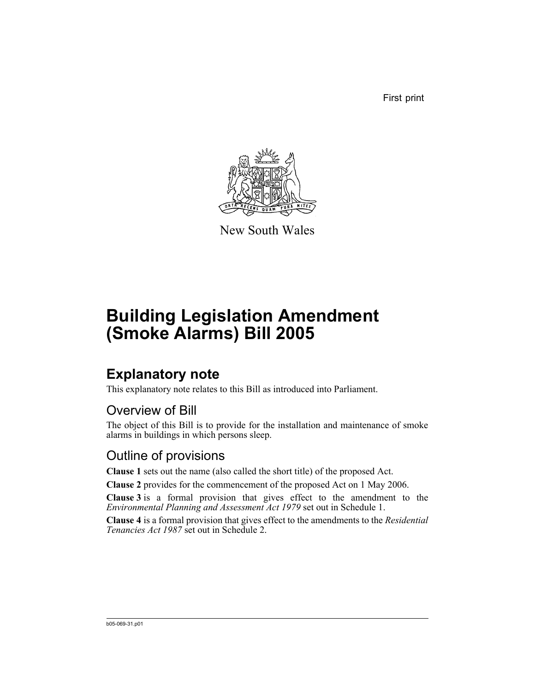First print



New South Wales

# **Building Legislation Amendment (Smoke Alarms) Bill 2005**

## **Explanatory note**

This explanatory note relates to this Bill as introduced into Parliament.

### Overview of Bill

The object of this Bill is to provide for the installation and maintenance of smoke alarms in buildings in which persons sleep.

### Outline of provisions

**Clause 1** sets out the name (also called the short title) of the proposed Act.

**Clause 2** provides for the commencement of the proposed Act on 1 May 2006.

**Clause 3** is a formal provision that gives effect to the amendment to the *Environmental Planning and Assessment Act 1979* set out in Schedule 1.

**Clause 4** is a formal provision that gives effect to the amendments to the *Residential Tenancies Act 1987* set out in Schedule 2.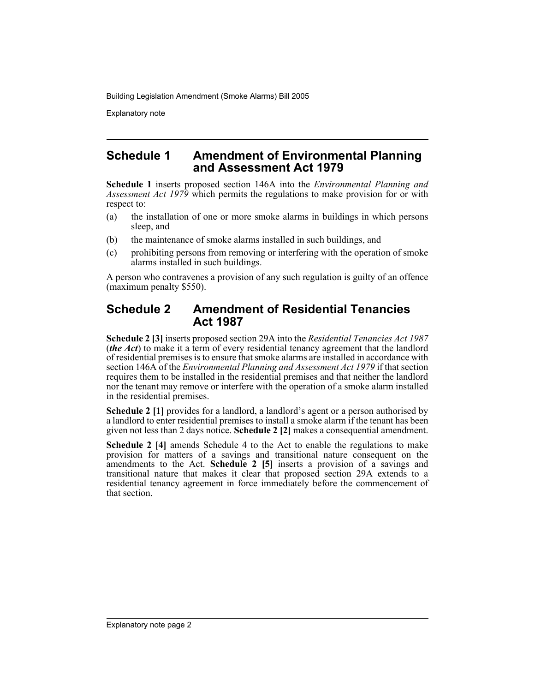Explanatory note

### **Schedule 1 Amendment of Environmental Planning and Assessment Act 1979**

**Schedule 1** inserts proposed section 146A into the *Environmental Planning and Assessment Act 1979* which permits the regulations to make provision for or with respect to:

- (a) the installation of one or more smoke alarms in buildings in which persons sleep, and
- (b) the maintenance of smoke alarms installed in such buildings, and
- (c) prohibiting persons from removing or interfering with the operation of smoke alarms installed in such buildings.

A person who contravenes a provision of any such regulation is guilty of an offence (maximum penalty \$550).

### **Schedule 2 Amendment of Residential Tenancies Act 1987**

**Schedule 2 [3]** inserts proposed section 29A into the *Residential Tenancies Act 1987* (*the Act*) to make it a term of every residential tenancy agreement that the landlord of residential premises is to ensure that smoke alarms are installed in accordance with section 146A of the *Environmental Planning and Assessment Act 1979* if that section requires them to be installed in the residential premises and that neither the landlord nor the tenant may remove or interfere with the operation of a smoke alarm installed in the residential premises.

**Schedule 2 [1]** provides for a landlord, a landlord's agent or a person authorised by a landlord to enter residential premises to install a smoke alarm if the tenant has been given not less than 2 days notice. **Schedule 2 [2]** makes a consequential amendment.

**Schedule 2 [4]** amends Schedule 4 to the Act to enable the regulations to make provision for matters of a savings and transitional nature consequent on the amendments to the Act. **Schedule 2 [5]** inserts a provision of a savings and transitional nature that makes it clear that proposed section 29A extends to a residential tenancy agreement in force immediately before the commencement of that section.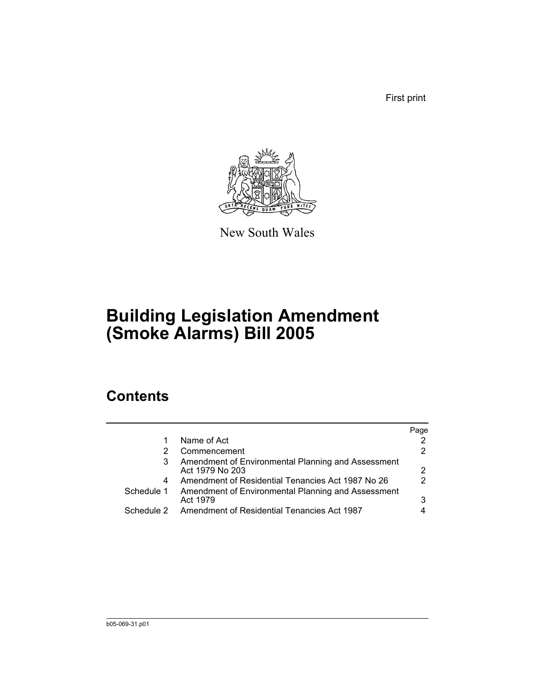First print



New South Wales

# **Building Legislation Amendment (Smoke Alarms) Bill 2005**

## **Contents**

|                                                                       | Page                                        |
|-----------------------------------------------------------------------|---------------------------------------------|
| Name of Act                                                           |                                             |
| Commencement                                                          |                                             |
| Amendment of Environmental Planning and Assessment<br>Act 1979 No 203 | 2                                           |
| Amendment of Residential Tenancies Act 1987 No 26                     | 2                                           |
| Amendment of Environmental Planning and Assessment<br>Act 1979        | 3                                           |
|                                                                       | Amendment of Residential Tenancies Act 1987 |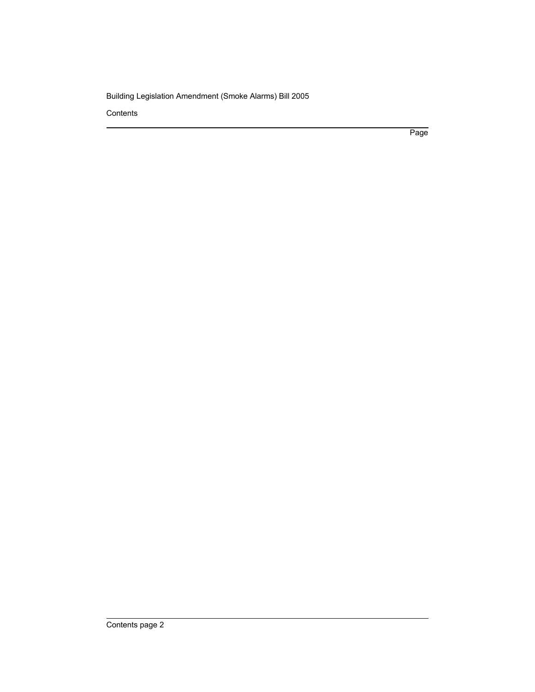**Contents** 

Page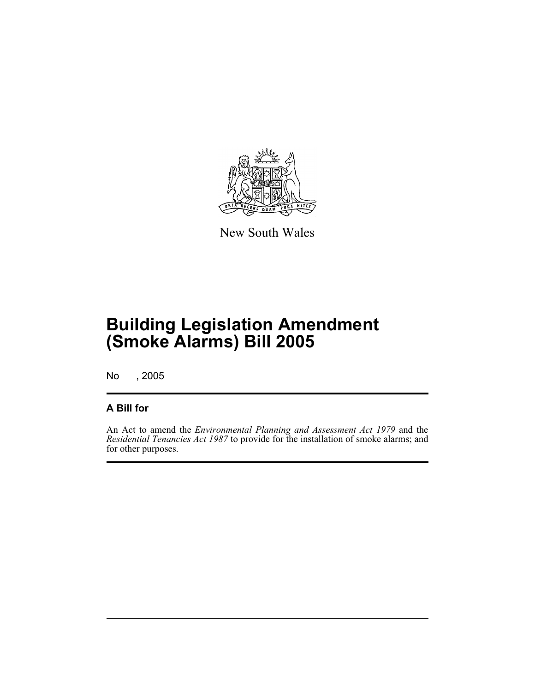

New South Wales

No , 2005

#### **A Bill for**

An Act to amend the *Environmental Planning and Assessment Act 1979* and the *Residential Tenancies Act 1987* to provide for the installation of smoke alarms; and for other purposes.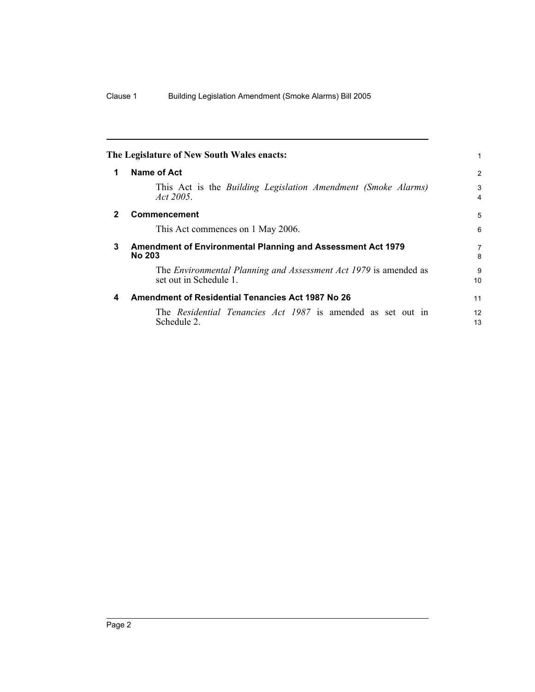<span id="page-5-2"></span><span id="page-5-1"></span><span id="page-5-0"></span>

|              | The Legislature of New South Wales enacts:                                                 |          |
|--------------|--------------------------------------------------------------------------------------------|----------|
| 1            | Name of Act                                                                                | 2        |
|              | This Act is the Building Legislation Amendment (Smoke Alarms)<br><i>Act</i> 2005.          | 3<br>4   |
| $\mathbf{2}$ | <b>Commencement</b>                                                                        | 5        |
|              | This Act commences on 1 May 2006.                                                          | 6        |
| 3            | Amendment of Environmental Planning and Assessment Act 1979<br><b>No 203</b>               | 7<br>8   |
|              | The Environmental Planning and Assessment Act 1979 is amended as<br>set out in Schedule 1. | 9<br>10  |
| 4            | <b>Amendment of Residential Tenancies Act 1987 No 26</b>                                   | 11       |
|              | The Residential Tenancies Act 1987 is amended as set out in<br>Schedule 2.                 | 12<br>13 |
|              |                                                                                            |          |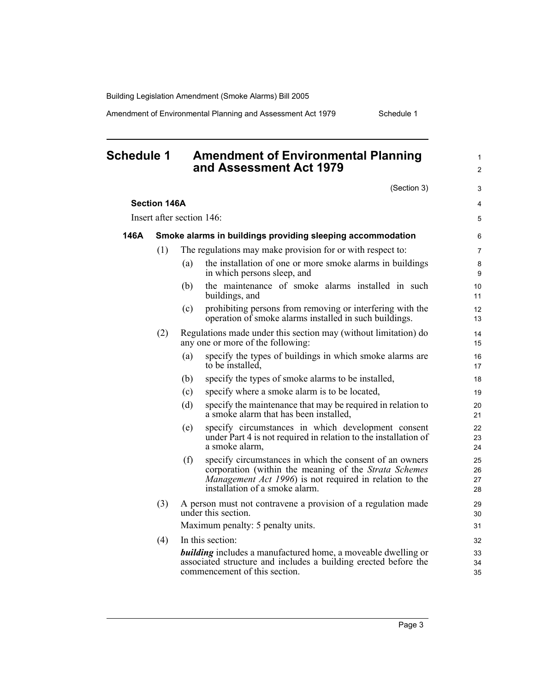Amendment of Environmental Planning and Assessment Act 1979 Schedule 1

<span id="page-6-0"></span>

| <b>Schedule 1</b> |                     |     | <b>Amendment of Environmental Planning</b><br>and Assessment Act 1979                                                                                                                                                 | $\mathbf{1}$<br>$\overline{2}$ |
|-------------------|---------------------|-----|-----------------------------------------------------------------------------------------------------------------------------------------------------------------------------------------------------------------------|--------------------------------|
|                   |                     |     | (Section 3)                                                                                                                                                                                                           | 3                              |
|                   | <b>Section 146A</b> |     |                                                                                                                                                                                                                       | 4                              |
|                   |                     |     | Insert after section 146:                                                                                                                                                                                             | 5                              |
| 146A              |                     |     | Smoke alarms in buildings providing sleeping accommodation                                                                                                                                                            | 6                              |
|                   | (1)                 |     | The regulations may make provision for or with respect to:                                                                                                                                                            | $\overline{7}$                 |
|                   |                     | (a) | the installation of one or more smoke alarms in buildings<br>in which persons sleep, and                                                                                                                              | 8<br>9                         |
|                   |                     | (b) | the maintenance of smoke alarms installed in such<br>buildings, and                                                                                                                                                   | 10<br>11                       |
|                   |                     | (c) | prohibiting persons from removing or interfering with the<br>operation of smoke alarms installed in such buildings.                                                                                                   | 12<br>13                       |
|                   | (2)                 |     | Regulations made under this section may (without limitation) do<br>any one or more of the following:                                                                                                                  | 14<br>15                       |
|                   |                     | (a) | specify the types of buildings in which smoke alarms are<br>to be installed,                                                                                                                                          | 16<br>17                       |
|                   |                     | (b) | specify the types of smoke alarms to be installed,                                                                                                                                                                    | 18                             |
|                   |                     | (c) | specify where a smoke alarm is to be located,                                                                                                                                                                         | 19                             |
|                   |                     | (d) | specify the maintenance that may be required in relation to<br>a smoke alarm that has been installed,                                                                                                                 | 20<br>21                       |
|                   |                     | (e) | specify circumstances in which development consent<br>under Part 4 is not required in relation to the installation of<br>a smoke alarm,                                                                               | 22<br>23<br>24                 |
|                   |                     | (f) | specify circumstances in which the consent of an owners<br>corporation (within the meaning of the Strata Schemes<br><i>Management Act 1996</i> ) is not required in relation to the<br>installation of a smoke alarm. | 25<br>26<br>27<br>28           |
|                   | (3)                 |     | A person must not contravene a provision of a regulation made<br>under this section.                                                                                                                                  | 29<br>30                       |
|                   |                     |     | Maximum penalty: 5 penalty units.                                                                                                                                                                                     | 31                             |
|                   | (4)                 |     | In this section:                                                                                                                                                                                                      | 32                             |
|                   |                     |     | <b>building</b> includes a manufactured home, a moveable dwelling or<br>associated structure and includes a building erected before the<br>commencement of this section.                                              | 33<br>34<br>35                 |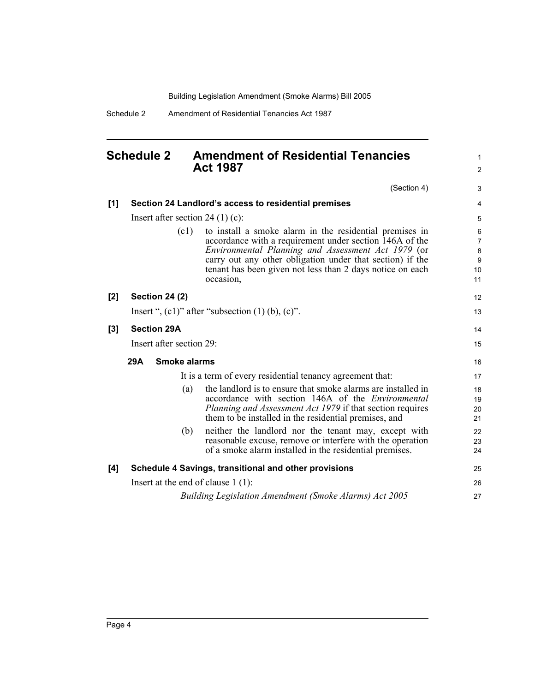1 2

Schedule 2 Amendment of Residential Tenancies Act 1987

### <span id="page-7-0"></span>**Schedule 2 Amendment of Residential Tenancies Act 1987**

|     |                                                           | (Section 4)                                                                                                                                                                                                                                                                                                     | 3                                         |
|-----|-----------------------------------------------------------|-----------------------------------------------------------------------------------------------------------------------------------------------------------------------------------------------------------------------------------------------------------------------------------------------------------------|-------------------------------------------|
| [1] |                                                           | Section 24 Landlord's access to residential premises                                                                                                                                                                                                                                                            | $\overline{4}$                            |
|     | Insert after section 24 $(1)$ (c):                        |                                                                                                                                                                                                                                                                                                                 |                                           |
|     | (c1)                                                      | to install a smoke alarm in the residential premises in<br>accordance with a requirement under section 146A of the<br>Environmental Planning and Assessment Act 1979 (or<br>carry out any other obligation under that section) if the<br>tenant has been given not less than 2 days notice on each<br>occasion, | 6<br>$\overline{7}$<br>8<br>9<br>10<br>11 |
| [2] | <b>Section 24 (2)</b>                                     |                                                                                                                                                                                                                                                                                                                 | 12                                        |
|     |                                                           | Insert ", $(c1)$ " after "subsection $(1)$ $(b)$ , $(c)$ ".                                                                                                                                                                                                                                                     | 13                                        |
| [3] | <b>Section 29A</b>                                        |                                                                                                                                                                                                                                                                                                                 | 14                                        |
|     | Insert after section 29:                                  |                                                                                                                                                                                                                                                                                                                 | 15                                        |
|     | <b>Smoke alarms</b><br>29A                                |                                                                                                                                                                                                                                                                                                                 |                                           |
|     | It is a term of every residential tenancy agreement that: |                                                                                                                                                                                                                                                                                                                 | 17                                        |
|     | (a)                                                       | the landlord is to ensure that smoke alarms are installed in<br>accordance with section 146A of the <i>Environmental</i><br><i>Planning and Assessment Act 1979</i> if that section requires<br>them to be installed in the residential premises, and                                                           | 18<br>19<br>20<br>21                      |
|     | (b)                                                       | neither the landlord nor the tenant may, except with<br>reasonable excuse, remove or interfere with the operation<br>of a smoke alarm installed in the residential premises.                                                                                                                                    | 22<br>23<br>24                            |
| [4] |                                                           | Schedule 4 Savings, transitional and other provisions                                                                                                                                                                                                                                                           | 25                                        |
|     | Insert at the end of clause $1(1)$ :                      |                                                                                                                                                                                                                                                                                                                 |                                           |
|     |                                                           | Building Legislation Amendment (Smoke Alarms) Act 2005                                                                                                                                                                                                                                                          | 27                                        |